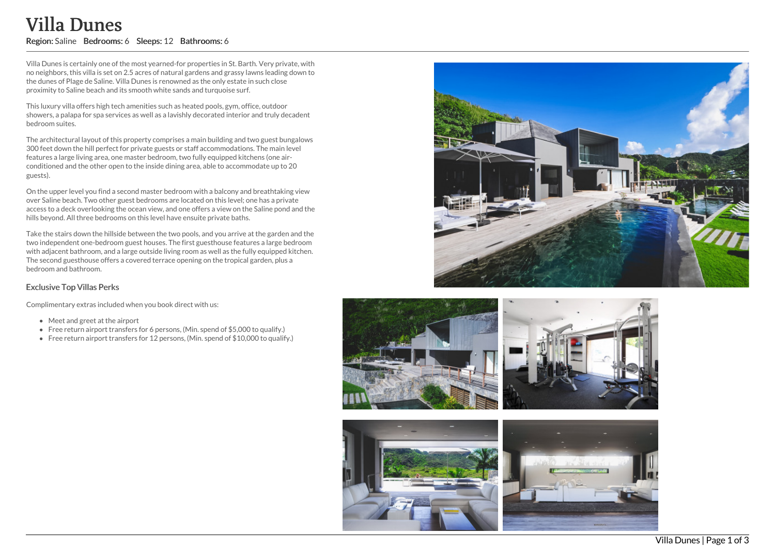## Villa Dunes

## Region: Saline Bedrooms: 6 Sleeps: 12 Bathrooms: 6

Villa Dunes is certainly one of the most yearned-for properties in St. Barth. Very private, with no neighbors, this villa is set on 2.5 acres of natural gardens and grassy lawns leading down to the dunes of Plage de Saline. Villa Dunes is renowned as the only estate in such close proximity to Saline beach and its smooth white sands and turquoise surf.

This luxury villa offers high tech amenities such as heated pools, gym, office, outdoor showers, a palapa for spa services as well as a lavishly decorated interior and truly decadent bedroom suites.

The architectural layout of this property comprises a main building and two guest bungalows 300 feet down the hill perfect for private guests or staff accommodations. The main level features a large living area, one master bedroom, two fully equipped kitchens (one airconditioned and the other open to the inside dining area, able to accommodate up to 20 guests).

On the upper level you find a second master bedroom with a balcony and breathtaking view over Saline beach. Two other guest bedrooms are located on this level; one has a private access to a deck overlooking the ocean view, and one offers a view on the Saline pond and the hills beyond. All three bedrooms on this level have ensuite private baths.

Take the stairs down the hillside between the two pools, and you arrive at the garden and the two independent one-bedroom guest houses. The first guesthouse features a large bedroom with adjacent bathroom, and a large outside living room as well as the fully equipped kitchen. The second guesthouse offers a covered terrace opening on the tropical garden, plus a bedroom and bathroom.

## Exclusive Top Villas Perks

Complimentary extras included when you book direct with us:

- Meet and greet at the airport
- Free return airport transfers for 6 persons, (Min. spend of \$5,000 to qualify.)
- Free return airport transfers for 12 persons, (Min. spend of \$10,000 to qualify.)



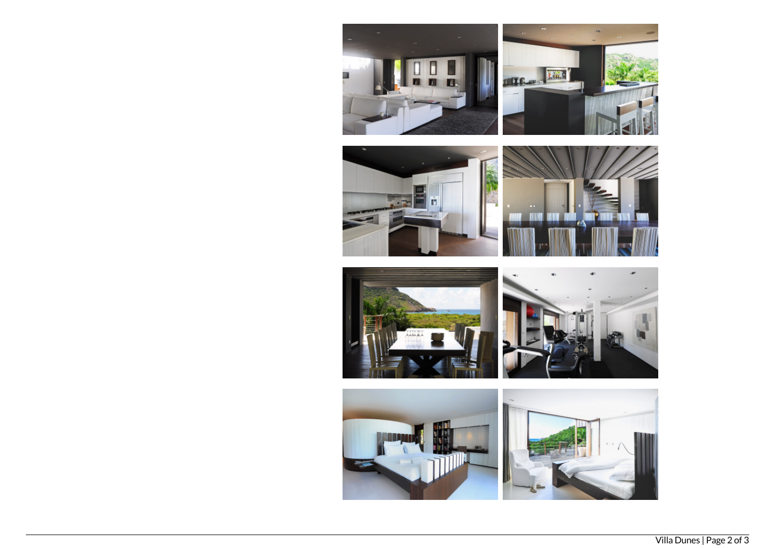







ш